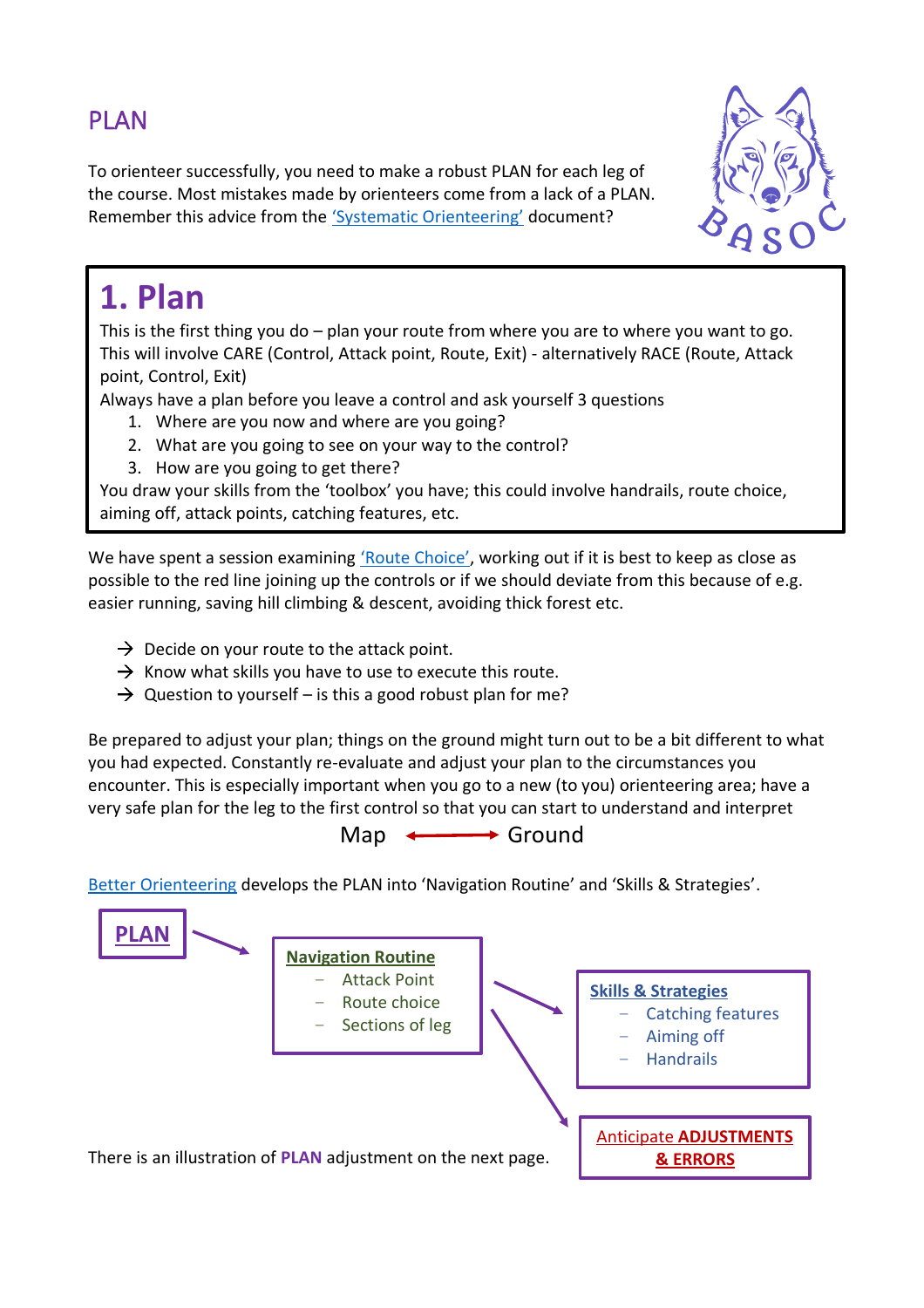## PLAN

To orienteer successfully, you need to make a robust PLAN for each leg of the course. Most mistakes made by orienteers come from a lack of a PLAN. Remember this advice from the ['Systematic Orienteering'](https://www.basoc.org.uk/info/2021-spring-training-sessions) document?



## **1. Plan**

This is the first thing you do – plan your route from where you are to where you want to go. This will involve CARE (Control, Attack point, Route, Exit) - alternatively RACE (Route, Attack point, Control, Exit)

Always have a plan before you leave a control and ask yourself 3 questions

- 1. Where are you now and where are you going?
- 2. What are you going to see on your way to the control?
- 3. How are you going to get there?

You draw your skills from the 'toolbox' you have; this could involve handrails, route choice, aiming off, attack points, catching features, etc.

We have spent a session examining ['Route Choice'](https://www.basoc.org.uk/info/2021-spring-training-sessions), working out if it is best to keep as close as possible to the red line joining up the controls or if we should deviate from this because of e.g. easier running, saving hill climbing & descent, avoiding thick forest etc. For further explanation of these, have a look at [Better Orienteering, Intermediate techniques.](https://betterorienteering.org/intermediate-techniques/)

- $\rightarrow$  Decide on your route to the attack point.
- $\rightarrow$  Know what skills you have to use to execute this route.
- $\rightarrow$  Question to yourself is this a good robust plan for me?

Be prepared to adjust your plan; things on the ground might turn out to be a bit different to what you had expected. Constantly re-evaluate and adjust your plan to the circumstances you encounter. This is especially important when you go to a new (to you) orienteering area; have a very safe plan for the leg to the first control so that you can start to understand and interpret

 $Map \longleftrightarrow$  Ground

[Better Orienteering](https://betterorienteering.org/advanced-techniques/) develops the PLAN into 'Navigation Routine' and 'Skills & Strategies'.